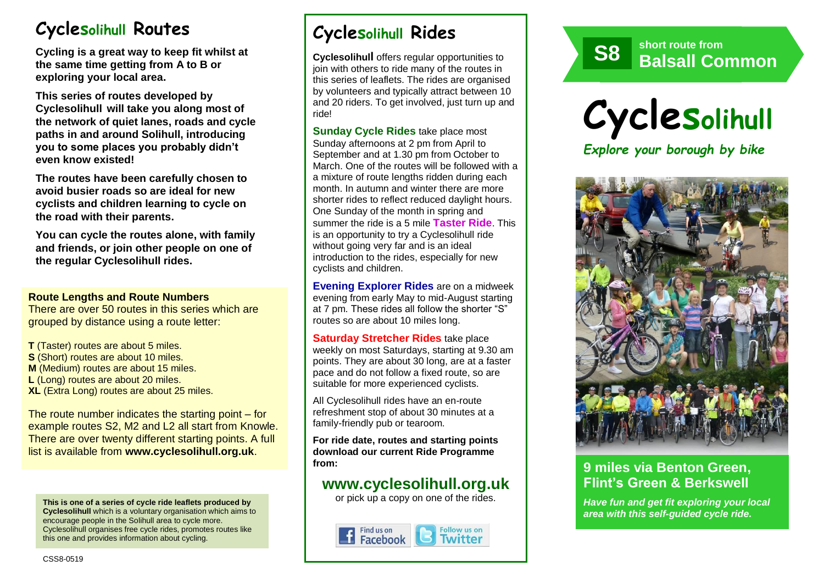# **Cyclesolihull Routes**

**Cycling is a great way to keep fit whilst at the same time getting from A to B or exploring your local area.** 

**This series of routes developed by Cyclesolihull will take you along most of the network of quiet lanes, roads and cycle paths in and around Solihull, introducing you to some places you probably didn't even know existed!**

**The routes have been carefully chosen to avoid busier roads so are ideal for new cyclists and children learning to cycle on the road with their parents.** 

**You can cycle the routes alone, with family and friends, or join other people on one of the regular Cyclesolihull rides.**

#### **Route Lengths and Route Numbers**

There are over 50 routes in this series which are grouped by distance using a route letter:

**T** (Taster) routes are about 5 miles. **S** (Short) routes are about 10 miles. **M** (Medium) routes are about 15 miles. **L** (Long) routes are about 20 miles. **XL** (Extra Long) routes are about 25 miles.

The route number indicates the starting point – for example routes S2, M2 and L2 all start from Knowle. There are over twenty different starting points. A full list is available from **www.cyclesolihull.org.uk**.

**This is one of a series of cycle ride leaflets produced by Cyclesolihull** which is a voluntary organisation which aims to encourage people in the Solihull area to cycle more. Cyclesolihull organises free cycle rides, promotes routes like this one and provides information about cycling.

# **Cyclesolihull Rides**

**Cyclesolihull** offers regular opportunities to join with others to ride many of the routes in this series of leaflets. The rides are organised by volunteers and typically attract between 10 and 20 riders. To get involved, just turn up and ride!

**Sunday Cycle Rides** take place most Sunday afternoons at 2 pm from April to September and at 1.30 pm from October to March. One of the routes will be followed with a a mixture of route lengths ridden during each month. In autumn and winter there are more shorter rides to reflect reduced daylight hours. One Sunday of the month in spring and summer the ride is a 5 mile **Taster Ride**. This is an opportunity to try a Cyclesolihull ride without going very far and is an ideal introduction to the rides, especially for new cyclists and children.

**Evening Explorer Rides** are on a midweek evening from early May to mid-August starting at 7 pm. These rides all follow the shorter "S" routes so are about 10 miles long.

**Saturday Stretcher Rides** take place weekly on most Saturdays, starting at 9.30 am points. They are about 30 long, are at a faster pace and do not follow a fixed route, so are suitable for more experienced cyclists.

All Cyclesolihull rides have an en-route refreshment stop of about 30 minutes at a family-friendly pub or tearoom.

**For ride date, routes and starting points download our current Ride Programme from:** 

## **www.cyclesolihull.org.uk**

or pick up a copy on one of the rides.









## **9 miles via Benton Green, Flint's Green & Berkswell**

*Have fun and get fit exploring your local area with this self-guided cycle ride.*